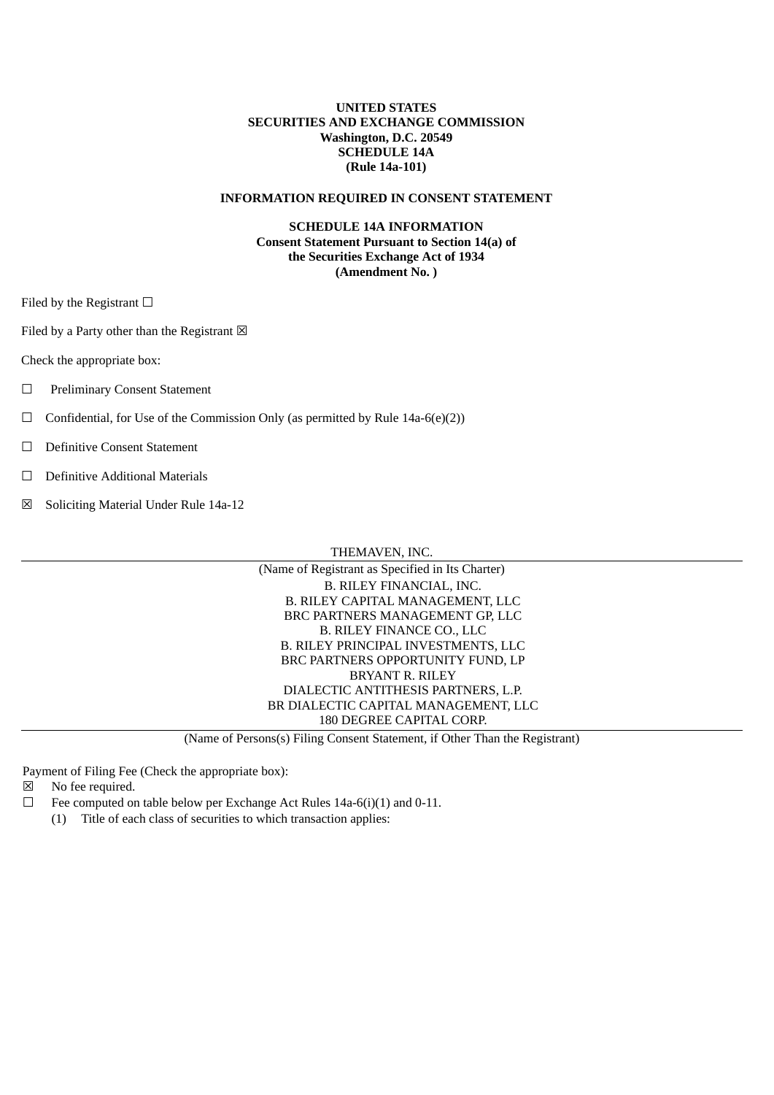# **UNITED STATES SECURITIES AND EXCHANGE COMMISSION Washington, D.C. 20549 SCHEDULE 14A (Rule 14a-101)**

# **INFORMATION REQUIRED IN CONSENT STATEMENT**

## **SCHEDULE 14A INFORMATION Consent Statement Pursuant to Section 14(a) of the Securities Exchange Act of 1934 (Amendment No. )**

Filed by the Registrant  $\Box$ 

Filed by a Party other than the Registrant  $\boxtimes$ 

Check the appropriate box:

- ☐ Preliminary Consent Statement
- $\Box$  Confidential, for Use of the Commission Only (as permitted by Rule 14a-6(e)(2))
- ☐ Definitive Consent Statement
- ☐ Definitive Additional Materials
- ☒ Soliciting Material Under Rule 14a-12

THEMAVEN, INC.

| (Name of Registrant as Specified in Its Charter) |
|--------------------------------------------------|
| B. RILEY FINANCIAL, INC.                         |
| B. RILEY CAPITAL MANAGEMENT, LLC                 |
| BRC PARTNERS MANAGEMENT GP, LLC                  |
| <b>B. RILEY FINANCE CO., LLC</b>                 |
| B. RILEY PRINCIPAL INVESTMENTS, LLC              |
| BRC PARTNERS OPPORTUNITY FUND, LP                |
| <b>BRYANT R. RILEY</b>                           |
| DIALECTIC ANTITHESIS PARTNERS, L.P.              |
| BR DIALECTIC CAPITAL MANAGEMENT, LLC             |
| 180 DEGREE CAPITAL CORP.                         |

(Name of Persons(s) Filing Consent Statement, if Other Than the Registrant)

Payment of Filing Fee (Check the appropriate box):

- ☒ No fee required.
- $\Box$  Fee computed on table below per Exchange Act Rules 14a-6(i)(1) and 0-11.
	- (1) Title of each class of securities to which transaction applies: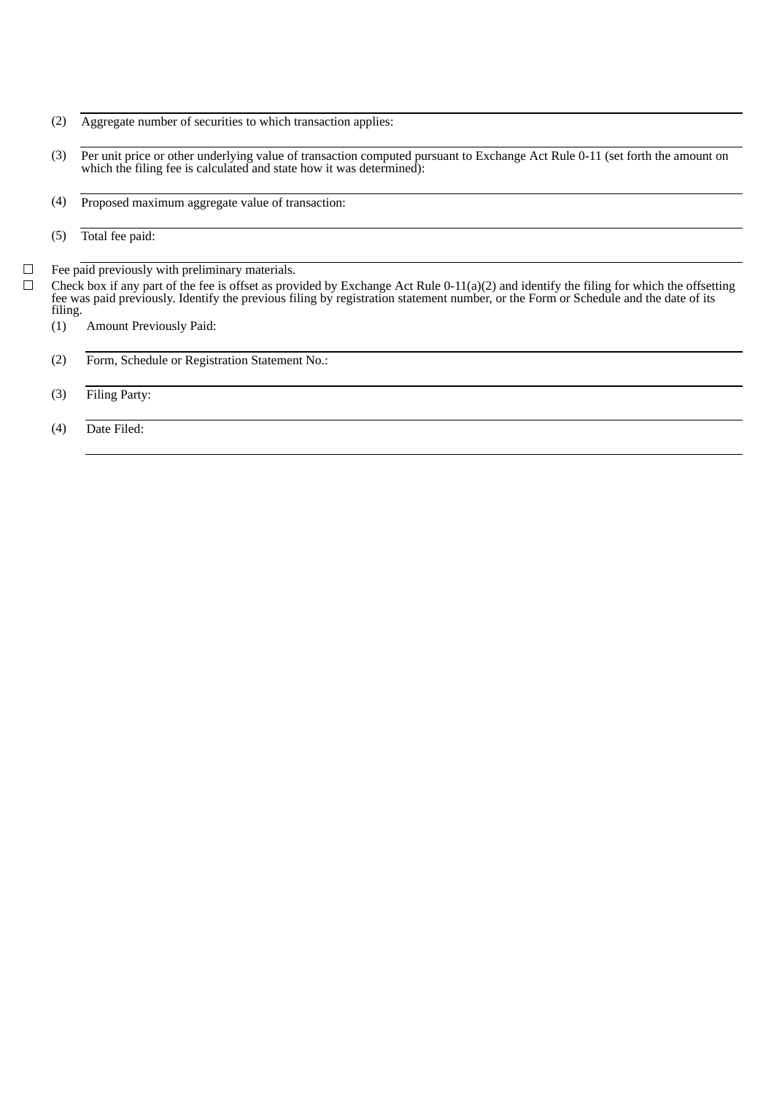- (2) Aggregate number of securities to which transaction applies:
- (3) Per unit price or other underlying value of transaction computed pursuant to Exchange Act Rule 0-11 (set forth the amount on which the filing fee is calculated and state how it was determined):
- (4) Proposed maximum aggregate value of transaction:
- (5) Total fee paid:
- $\Box$  Fee paid previously with preliminary materials.
- $\Box$  Check box if any part of the fee is offset as provided by Exchange Act Rule 0-11(a)(2) and identify the filing for which the offsetting fee was paid previously. Identify the previous filing by registration statement number, or the Form or Schedule and the date of its filing.
	- (1) Amount Previously Paid:
	- (2) Form, Schedule or Registration Statement No.:
	- (3) Filing Party:
	- (4) Date Filed: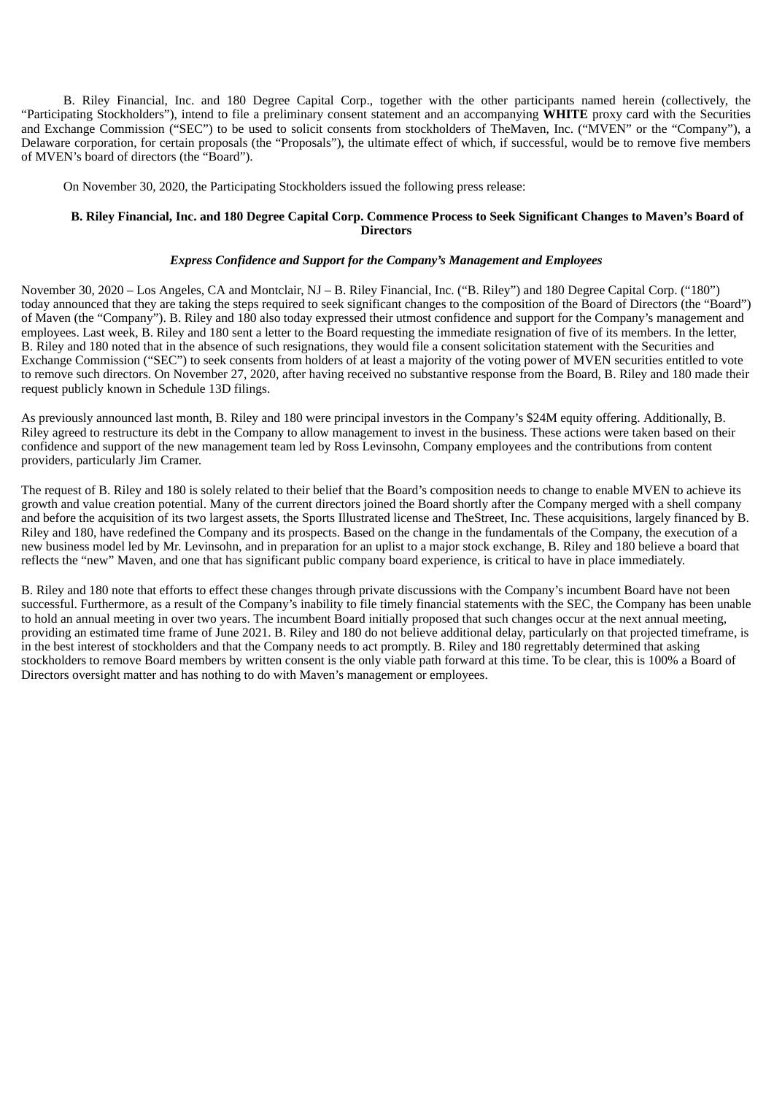B. Riley Financial, Inc. and 180 Degree Capital Corp., together with the other participants named herein (collectively, the "Participating Stockholders"), intend to file a preliminary consent statement and an accompanying **WHITE** proxy card with the Securities and Exchange Commission ("SEC") to be used to solicit consents from stockholders of TheMaven, Inc. ("MVEN" or the "Company"), a Delaware corporation, for certain proposals (the "Proposals"), the ultimate effect of which, if successful, would be to remove five members of MVEN's board of directors (the "Board").

On November 30, 2020, the Participating Stockholders issued the following press release:

## B. Riley Financial, Inc. and 180 Degree Capital Corp. Commence Process to Seek Significant Changes to Maven's Board of **Directors**

#### *Express Confidence and Support for the Company's Management and Employees*

November 30, 2020 – Los Angeles, CA and Montclair, NJ – B. Riley Financial, Inc. ("B. Riley") and 180 Degree Capital Corp. ("180") today announced that they are taking the steps required to seek significant changes to the composition of the Board of Directors (the "Board") of Maven (the "Company"). B. Riley and 180 also today expressed their utmost confidence and support for the Company's management and employees. Last week, B. Riley and 180 sent a letter to the Board requesting the immediate resignation of five of its members. In the letter, B. Riley and 180 noted that in the absence of such resignations, they would file a consent solicitation statement with the Securities and Exchange Commission ("SEC") to seek consents from holders of at least a majority of the voting power of MVEN securities entitled to vote to remove such directors. On November 27, 2020, after having received no substantive response from the Board, B. Riley and 180 made their request publicly known in Schedule 13D filings.

As previously announced last month, B. Riley and 180 were principal investors in the Company's \$24M equity offering. Additionally, B. Riley agreed to restructure its debt in the Company to allow management to invest in the business. These actions were taken based on their confidence and support of the new management team led by Ross Levinsohn, Company employees and the contributions from content providers, particularly Jim Cramer.

The request of B. Riley and 180 is solely related to their belief that the Board's composition needs to change to enable MVEN to achieve its growth and value creation potential. Many of the current directors joined the Board shortly after the Company merged with a shell company and before the acquisition of its two largest assets, the Sports Illustrated license and TheStreet, Inc. These acquisitions, largely financed by B. Riley and 180, have redefined the Company and its prospects. Based on the change in the fundamentals of the Company, the execution of a new business model led by Mr. Levinsohn, and in preparation for an uplist to a major stock exchange, B. Riley and 180 believe a board that reflects the "new" Maven, and one that has significant public company board experience, is critical to have in place immediately.

B. Riley and 180 note that efforts to effect these changes through private discussions with the Company's incumbent Board have not been successful. Furthermore, as a result of the Company's inability to file timely financial statements with the SEC, the Company has been unable to hold an annual meeting in over two years. The incumbent Board initially proposed that such changes occur at the next annual meeting, providing an estimated time frame of June 2021. B. Riley and 180 do not believe additional delay, particularly on that projected timeframe, is in the best interest of stockholders and that the Company needs to act promptly. B. Riley and 180 regrettably determined that asking stockholders to remove Board members by written consent is the only viable path forward at this time. To be clear, this is 100% a Board of Directors oversight matter and has nothing to do with Maven's management or employees.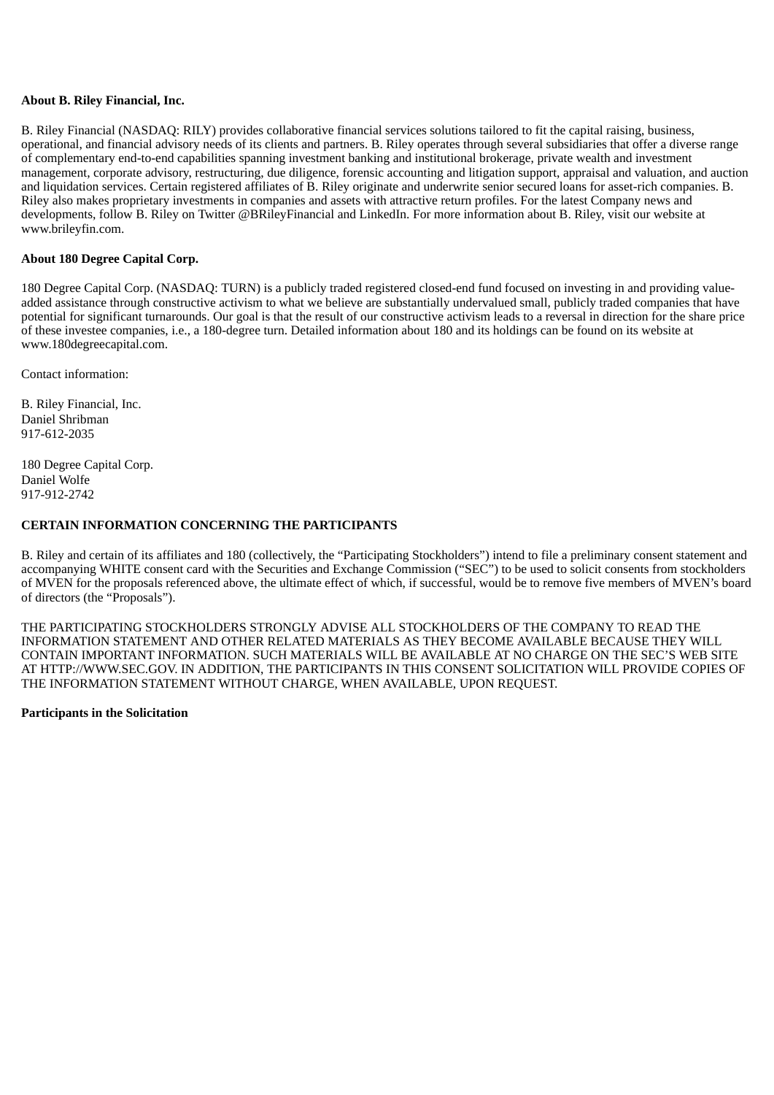# **About B. Riley Financial, Inc.**

B. Riley Financial (NASDAQ: RILY) provides collaborative financial services solutions tailored to fit the capital raising, business, operational, and financial advisory needs of its clients and partners. B. Riley operates through several subsidiaries that offer a diverse range of complementary end-to-end capabilities spanning investment banking and institutional brokerage, private wealth and investment management, corporate advisory, restructuring, due diligence, forensic accounting and litigation support, appraisal and valuation, and auction and liquidation services. Certain registered affiliates of B. Riley originate and underwrite senior secured loans for asset-rich companies. B. Riley also makes proprietary investments in companies and assets with attractive return profiles. For the latest Company news and developments, follow B. Riley on Twitter @BRileyFinancial and LinkedIn. For more information about B. Riley, visit our website at www.brileyfin.com.

## **About 180 Degree Capital Corp.**

180 Degree Capital Corp. (NASDAQ: TURN) is a publicly traded registered closed-end fund focused on investing in and providing valueadded assistance through constructive activism to what we believe are substantially undervalued small, publicly traded companies that have potential for significant turnarounds. Our goal is that the result of our constructive activism leads to a reversal in direction for the share price of these investee companies, i.e., a 180-degree turn. Detailed information about 180 and its holdings can be found on its website at www.180degreecapital.com.

Contact information:

B. Riley Financial, Inc. Daniel Shribman 917-612-2035

180 Degree Capital Corp. Daniel Wolfe 917-912-2742

## **CERTAIN INFORMATION CONCERNING THE PARTICIPANTS**

B. Riley and certain of its affiliates and 180 (collectively, the "Participating Stockholders") intend to file a preliminary consent statement and accompanying WHITE consent card with the Securities and Exchange Commission ("SEC") to be used to solicit consents from stockholders of MVEN for the proposals referenced above, the ultimate effect of which, if successful, would be to remove five members of MVEN's board of directors (the "Proposals").

THE PARTICIPATING STOCKHOLDERS STRONGLY ADVISE ALL STOCKHOLDERS OF THE COMPANY TO READ THE INFORMATION STATEMENT AND OTHER RELATED MATERIALS AS THEY BECOME AVAILABLE BECAUSE THEY WILL CONTAIN IMPORTANT INFORMATION. SUCH MATERIALS WILL BE AVAILABLE AT NO CHARGE ON THE SEC'S WEB SITE AT HTTP://WWW.SEC.GOV. IN ADDITION, THE PARTICIPANTS IN THIS CONSENT SOLICITATION WILL PROVIDE COPIES OF THE INFORMATION STATEMENT WITHOUT CHARGE, WHEN AVAILABLE, UPON REQUEST.

## **Participants in the Solicitation**